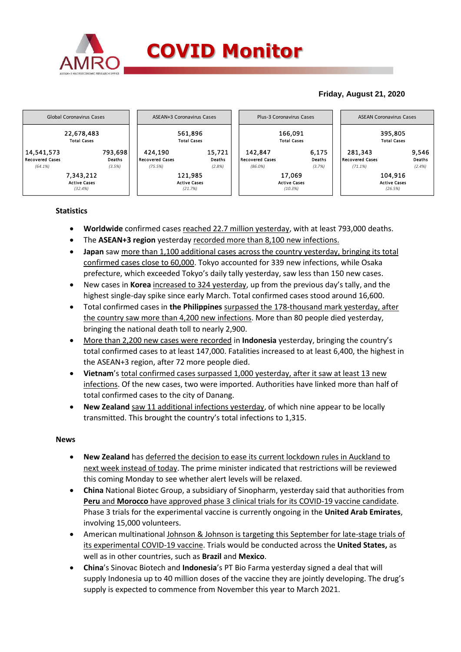

## **COVID Monitor**

### **Friday, August 21, 2020**



#### **Statistics**

- **Worldwide** confirmed cases reached 22.7 million yesterday, with at least 793,000 deaths.
- The **ASEAN+3 region** yesterday recorded more than 8,100 new infections.
- **Japan** saw more than 1,100 additional cases across the country yesterday, bringing its total confirmed cases close to 60,000. Tokyo accounted for 339 new infections, while Osaka prefecture, which exceeded Tokyo's daily tally yesterday, saw less than 150 new cases.
- New cases in **Korea** increased to 324 yesterday, up from the previous day's tally, and the highest single-day spike since early March. Total confirmed cases stood around 16,600.
- Total confirmed cases in **the Philippines** surpassed the 178-thousand mark yesterday, after the country saw more than 4,200 new infections. More than 80 people died yesterday, bringing the national death toll to nearly 2,900.
- More than 2,200 new cases were recorded in **Indonesia** yesterday, bringing the country's total confirmed cases to at least 147,000. Fatalities increased to at least 6,400, the highest in the ASEAN+3 region, after 72 more people died.
- **Vietnam**'s total confirmed cases surpassed 1,000 yesterday, after it saw at least 13 new infections. Of the new cases, two were imported. Authorities have linked more than half of total confirmed cases to the city of Danang.
- **New Zealand** saw 11 additional infections yesterday, of which nine appear to be locally transmitted. This brought the country's total infections to 1,315.

#### **News**

- **New Zealand** has deferred the decision to ease its current lockdown rules in Auckland to next week instead of today. The prime minister indicated that restrictions will be reviewed this coming Monday to see whether alert levels will be relaxed.
- **China** National Biotec Group, a subsidiary of Sinopharm, yesterday said that authorities from **Peru** and **Morocco** have approved phase 3 clinical trials for its COVID-19 vaccine candidate. Phase 3 trials for the experimental vaccine is currently ongoing in the **United Arab Emirates**, involving 15,000 volunteers.
- American multinational Johnson & Johnson is targeting this September for late-stage trials of its experimental COVID-19 vaccine. Trials would be conducted across the **United States,** as well as in other countries, such as **Brazil** and **Mexico**.
- **China**'s Sinovac Biotech and **Indonesia**'s PT Bio Farma yesterday signed a deal that will supply Indonesia up to 40 million doses of the vaccine they are jointly developing. The drug's supply is expected to commence from November this year to March 2021.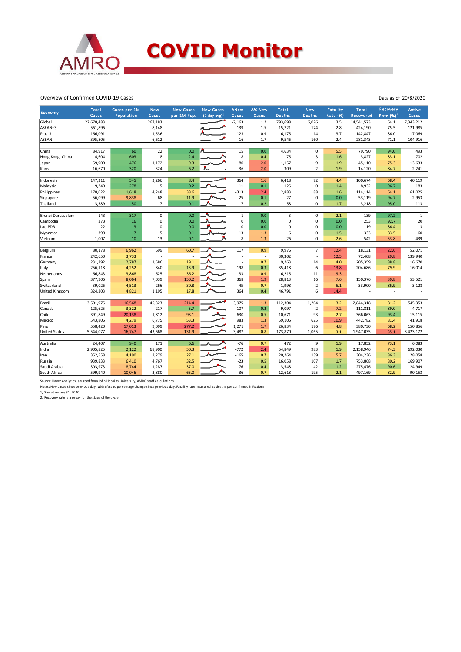

#### Overview of Confirmed COVID-19 Cases

| Economy               | <b>Total</b><br>Cases | Cases per 1M<br>Population | <b>New</b><br>Cases | <b>New Cases</b><br>per 1M Pop. | <b>New Cases</b><br>$(7$ -day avg) <sup>1</sup> | <b>ANew</b><br>Cases | ∆% New<br>Cases          | Total<br><b>Deaths</b> | <b>New</b><br>Deaths | Fatality<br>Rate (%) | <b>Total</b><br>Recovered | Recovery<br>Rate $(%)2$  | <b>Active</b><br>Cases |
|-----------------------|-----------------------|----------------------------|---------------------|---------------------------------|-------------------------------------------------|----------------------|--------------------------|------------------------|----------------------|----------------------|---------------------------|--------------------------|------------------------|
| Global                | 22,678,483            |                            | 267,183             |                                 |                                                 | $-7,163$             | $1.2\,$                  | 793,698                | 6,026                | 3.5                  | 14,541,573                | 64.1                     | 7,343,212              |
| ASEAN+3               | 561,896               |                            | 8,148               |                                 |                                                 | 139                  | 1.5                      | 15,721                 | 174                  | 2.8                  | 424,190                   | 75.5                     | 121,985                |
| Plus-3                | 166,091               |                            | 1,536               |                                 |                                                 | 123                  | 0.9                      | 6,175                  | 14                   | 3.7                  | 142,847                   | 86.0                     | 17,069                 |
| ASEAN                 | 395,805               |                            | 6,612               |                                 |                                                 | 16                   | 1.7                      | 9,546                  | 160                  | 2.4                  | 281,343                   | 71.1                     | 104,916                |
|                       |                       |                            |                     |                                 |                                                 |                      |                          |                        |                      |                      |                           |                          |                        |
| China                 | 84,917                | 60                         | 22                  | 0.0                             |                                                 | 15                   | 0.0                      | 4,634                  | 0                    | 5.5                  | 79,790                    | 94.0                     | 493                    |
| Hong Kong, China      | 4,604                 | 603                        | 18                  | 2.4                             |                                                 | -8                   | 0.4                      | 75                     | $\overline{3}$       | 1.6                  | 3,827                     | 83.1                     | 702                    |
| Japan                 | 59,900                | 476                        | 1,172               | 9.3                             |                                                 | 80                   | 2.0                      | 1,157                  | 9                    | 1.9                  | 45,110                    | 75.3                     | 13,633                 |
| Korea                 | 16,670                | 320                        | 324                 | 6.2                             |                                                 | 36                   | 2.0                      | 309                    | $\overline{2}$       | 1.9                  | 14,120                    | 84.7                     | 2,241                  |
|                       |                       |                            |                     |                                 |                                                 |                      |                          |                        |                      |                      |                           |                          |                        |
| Indonesia             | 147,211               | 545                        | 2,266               | 8.4                             |                                                 | 364                  | 1.6                      | 6,418                  | 72                   | 4.4                  | 100,674                   | 68.4                     | 40,119                 |
| Malaysia              | 9,240                 | 278                        | 5                   | 0.2                             |                                                 | $-11$                | 0.1                      | 125                    | $\mathbf 0$          | 1.4                  | 8,932                     | 96.7                     | 183                    |
| Philippines           | 178,022               | 1,618                      | 4,248               | 38.6                            |                                                 | $-313$               | 2.4                      | 2,883                  | 88                   | 1.6                  | 114,114                   | 64.1                     | 61,025                 |
| Singapore             | 56,099                | 9,838                      | 68                  | 11.9                            |                                                 | $-25$                | 0.1                      | 27                     | 0                    | 0.0                  | 53,119                    | 94.7                     | 2,953                  |
| Thailand              | 3,389                 | 50                         | $\overline{7}$      | 0.1                             |                                                 | $\overline{7}$       | 0.2                      | 58                     | 0                    | 1.7                  | 3,218                     | 95.0                     | 113                    |
|                       |                       |                            |                     | 0.0                             |                                                 |                      | 0.0                      |                        |                      |                      |                           |                          |                        |
| Brunei Darussalam     | 143<br>273            | 317<br>16                  | 0<br>0              | 0.0                             |                                                 | $-1$<br>$\mathbf 0$  | 0.0                      | 3<br>0                 | 0<br>0               | 2.1<br>0.0           | 139<br>253                | 97.2<br>92.7             | $\mathbf 1$<br>20      |
| Cambodia              |                       |                            |                     |                                 |                                                 | $\mathbf 0$          |                          |                        | $\Omega$             |                      |                           |                          |                        |
| Lao PDR               | 22                    | $\mathsf 3$                | 0                   | 0.0                             |                                                 |                      | 0.0                      | 0                      |                      | 0.0                  | 19                        | 86.4                     | 3                      |
| Myanmar               | 399                   | $\overline{7}$             | 5                   | 0.1                             |                                                 | $-13$<br>8           | 1.3                      | 6                      | 0<br>0               | $1.5\,$              | 333                       | 83.5                     | 60<br>439              |
| Vietnam               | 1,007                 | 10                         | 13                  | 0.1                             |                                                 |                      | 1.3                      | 26                     |                      | 2.6                  | 542                       | 53.8                     |                        |
| Belgium               | 80,178                | 6,962                      | 699                 | 60.7                            |                                                 | 117                  | 0.9                      | 9,976                  | $\overline{7}$       | 12.4                 | 18,131                    | 22.6                     | 52,071                 |
| France                | 242,650               | 3,733                      |                     | $\overline{a}$                  |                                                 |                      | $\overline{\phantom{a}}$ | 30,302                 | J.                   | 12.5                 | 72,408                    | 29.8                     | 139,940                |
| Germany               | 231,292               | 2,787                      | 1,586               | 19.1                            |                                                 |                      | 0.7                      | 9,263                  | 14                   | 4.0                  | 205,359                   | 88.8                     | 16,670                 |
| Italy                 | 256,118               | 4,252                      | 840                 | 13.9                            |                                                 | 198                  | 0.3                      | 35,418                 | 6                    | 13.8                 | 204,686                   | 79.9                     | 16,014                 |
| Netherlands           | 66,843                | 3,868                      | 625                 | 36.2                            |                                                 | $-33$                | 0.9                      | 6,215                  | 11                   | 9.3                  |                           | $\overline{\phantom{a}}$ |                        |
| Spain                 | 377,906               | 8,064                      | 7,039               | 150.2                           |                                                 | 368                  | 1.9                      | 28,813                 | 16                   | 7.6                  | 150,376                   | 39.8                     | 53,521                 |
| Switzerland           | 39,026                | 4,513                      | 266                 | 30.8                            |                                                 | $-45$                | 0.7                      | 1,998                  | $\mathbf 2$          | 5.1                  | 33,900                    | 86.9                     | 3,128                  |
| <b>United Kingdom</b> | 324,203               | 4,821                      | 1,195               | 17.8                            |                                                 | 364                  | 0.4                      | 46,791                 | 6                    | 14.4                 |                           | $\overline{a}$           |                        |
|                       |                       |                            |                     |                                 |                                                 |                      |                          |                        |                      |                      |                           |                          |                        |
| Brazil                | 3,501,975             | 16,568                     | 45,323              | 214.4                           |                                                 | $-3,975$             | 1.3                      | 112,304                | 1,204                | 3.2                  | 2,844,318                 | 81.2                     | 545,353                |
| Canada                | 125,625               | 3,322                      | 217                 | 5.7                             |                                                 | $-107$               | 0.2                      | 9,097                  | $\overline{2}$       | 7.2                  | 111,811                   | 89.0                     | 4,717                  |
| Chile                 | 391,849               | 20,138                     | 1,812               | 93.1                            |                                                 | 630                  | 0.5                      | 10,671                 | 93                   | 2.7                  | 366,063                   | 93.4                     | 15,115                 |
| Mexico                | 543,806               | 4,279                      | 6,775               | 53.3                            |                                                 | 983                  | 1.3                      | 59,106                 | 625                  | 10.9                 | 442,782                   | 81.4                     | 41,918                 |
| Peru                  | 558,420               | 17,013                     | 9,099               | 277.2                           |                                                 | 1,271                | 1.7                      | 26,834                 | 176                  | 4.8                  | 380,730                   | 68.2                     | 150,856                |
| <b>United States</b>  | 5,544,077             | 16,747                     | 43,668              | 131.9                           |                                                 | $-3,487$             | 0.8                      | 173,870                | 1,065                | 3.1                  | 1,947,035                 | 35.1                     | 3,423,172              |
|                       |                       |                            |                     |                                 |                                                 |                      |                          |                        |                      |                      |                           |                          |                        |
| Australia             | 24,407                | 940                        | 171                 | 6.6                             |                                                 | $-76$                | 0.7                      | 472                    | 9                    | 1.9                  | 17,852                    | 73.1                     | 6,083                  |
| India                 | 2,905,825             | 2,122                      | 68,900              | 50.3                            |                                                 | $-772$               | 2.4                      | 54,849                 | 983                  | 1.9                  | 2,158,946                 | 74.3                     | 692,030                |
| Iran                  | 352,558               | 4,190                      | 2,279               | 27.1                            |                                                 | $-165$               | 0.7                      | 20,264                 | 139                  | 5.7                  | 304,236                   | 86.3                     | 28,058                 |
| Russia                | 939,833               | 6,410                      | 4,767               | 32.5                            |                                                 | $-23$                | 0.5                      | 16,058                 | 107                  | 1.7                  | 753,868                   | 80.2                     | 169,907                |
| Saudi Arabia          | 303,973               | 8,744                      | 1,287               | 37.0                            |                                                 | $-76$                | 0.4                      | 3,548                  | 42                   | $1.2$                | 275,476                   | 90.6                     | 24,949                 |
| South Africa          | 599,940               | 10,046                     | 3,880               | 65.0                            |                                                 | $-36$                | 0.7                      | 12,618                 | 195                  | 2.1                  | 497,169                   | 82.9                     | 90,153                 |

Source: Haver Analytics, sourced from John Hopkins University; AMRO staff calculations.

Notes: New cases since previous day. Δ% refers to percentage change since previous day. Fatality rate measured as deaths per confirmed infections.

1/ Since January 31, 2020. 2/ Recovery rate is a proxy for the stage of the cycle.

Data as of 20/8/2020